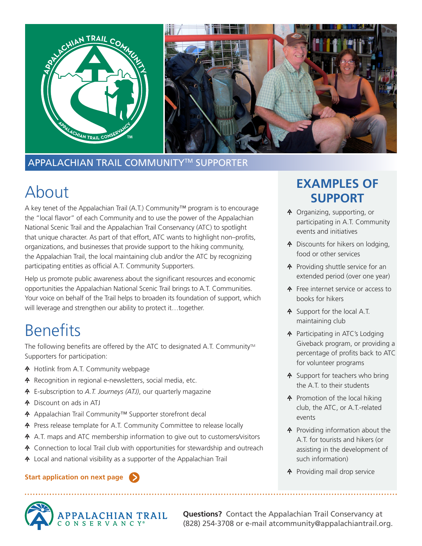

### APPALACHIAN TRAIL COMMUNITYTM SUPPORTER

# About

A key tenet of the Appalachian Trail (A.T.) Community™ program is to encourage the "local flavor" of each Community and to use the power of the Appalachian National Scenic Trail and the Appalachian Trail Conservancy (ATC) to spotlight that unique character. As part of that effort, ATC wants to highlight non–profits, organizations, and businesses that provide support to the hiking community, the Appalachian Trail, the local maintaining club and/or the ATC by recognizing participating entities as official A.T. Community Supporters.

Help us promote public awareness about the significant resources and economic opportunities the Appalachian National Scenic Trail brings to A.T. Communities. Your voice on behalf of the Trail helps to broaden its foundation of support, which will leverage and strengthen our ability to protect it…together.

# **Benefits**

The following benefits are offered by the ATC to designated A.T. Community™ Supporters for participation:

- A Hotlink from A.T. Community webpage
- **A** Recognition in regional e-newsletters, social media, etc.
- E-subscription to *A.T. Journeys (ATJ)*, our quarterly magazine
- Discount on ads in ATJ
- ↑ Appalachian Trail Community™ Supporter storefront decal
- Press release template for A.T. Community Committee to release locally
- A A.T. maps and ATC membership information to give out to customers/visitors
- **A** Connection to local Trail club with opportunities for stewardship and outreach
- Local and national visibility as a supporter of the Appalachian Trail

#### **Start application on next page**



**Questions?** Contact the Appalachian Trail Conservancy at (828) 254-3708 or e-mail atcommunity@appalachiantrail.org.

### **EXAMPLES OF SUPPORT**

- Organizing, supporting, or participating in A.T. Community events and initiatives
- **A** Discounts for hikers on lodging, food or other services
- **A** Providing shuttle service for an extended period (over one year)
- **A** Free internet service or access to books for hikers
- **A** Support for the local A.T. maintaining club
- **A** Participating in ATC's Lodging Giveback program, or providing a percentage of profits back to ATC for volunteer programs
- **A** Support for teachers who bring the A.T. to their students
- **A** Promotion of the local hiking club, the ATC, or A.T.-related events
- **A** Providing information about the A.T. for tourists and hikers (or assisting in the development of such information)
- **A** Providing mail drop service